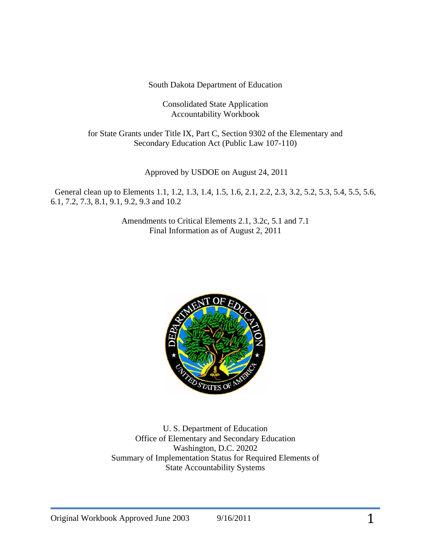South Dakota Department of Education

Consolidated State Application Accountability Workbook

for State Grants under Title IX, Part C, Section 9302 of the Elementary and Secondary Education Act (Public Law 107-110)

Approved by USDOE on August 24, 2011

 General clean up to Elements 1.1, 1.2, 1.3, 1.4, 1.5, 1.6, 2.1, 2.2, 2.3, 3.2, 5.2, 5.3, 5.4, 5.5, 5.6, 6.1, 7.2, 7.3, 8.1, 9.1, 9.2, 9.3 and 10.2

> Amendments to Critical Elements 2.1, 3.2c, 5.1 and 7.1 Final Information as of August 2, 2011



U. S. Department of Education Office of Elementary and Secondary Education Washington, D.C. 20202 Summary of Implementation Status for Required Elements of State Accountability Systems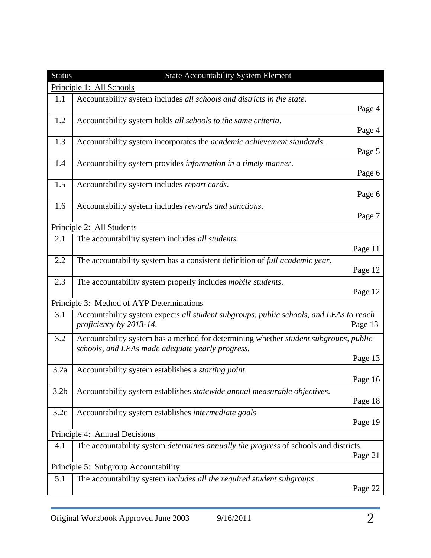| <b>Status</b>    | <b>State Accountability System Element</b>                                                                                               |         |
|------------------|------------------------------------------------------------------------------------------------------------------------------------------|---------|
|                  | Principle 1: All Schools                                                                                                                 |         |
| 1.1              | Accountability system includes all schools and districts in the state.                                                                   | Page 4  |
| 1.2              | Accountability system holds all schools to the same criteria.                                                                            | Page 4  |
| 1.3              | Accountability system incorporates the academic achievement standards.                                                                   | Page 5  |
| 1.4              | Accountability system provides information in a timely manner.                                                                           | Page 6  |
| 1.5              | Accountability system includes report cards.                                                                                             | Page 6  |
| 1.6              | Accountability system includes rewards and sanctions.                                                                                    | Page 7  |
|                  | Principle 2: All Students                                                                                                                |         |
| 2.1              | The accountability system includes all students                                                                                          | Page 11 |
| 2.2              | The accountability system has a consistent definition of full academic year.                                                             | Page 12 |
| 2.3              | The accountability system properly includes <i>mobile students</i> .                                                                     | Page 12 |
|                  | Principle 3: Method of AYP Determinations                                                                                                |         |
| 3.1              | Accountability system expects all student subgroups, public schools, and LEAs to reach<br>proficiency by 2013-14.                        | Page 13 |
| 3.2              | Accountability system has a method for determining whether student subgroups, public<br>schools, and LEAs made adequate yearly progress. |         |
|                  |                                                                                                                                          | Page 13 |
| 3.2a             | Accountability system establishes a starting point.                                                                                      | Page 16 |
| 3.2 <sub>b</sub> | Accountability system establishes statewide annual measurable objectives.                                                                | Page 18 |
| 3.2c             | Accountability system establishes intermediate goals                                                                                     | Page 19 |
|                  | Principle 4: Annual Decisions                                                                                                            |         |
| 4.1              | The accountability system <i>determines annually the progress</i> of schools and districts.                                              | Page 21 |
|                  | Principle 5: Subgroup Accountability                                                                                                     |         |
| 5.1              | The accountability system includes all the required student subgroups.                                                                   | Page 22 |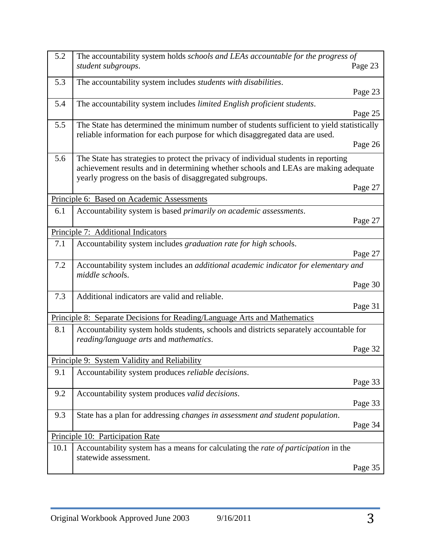| 5.2  | The accountability system holds schools and LEAs accountable for the progress of<br>student subgroups.                                                                                                                                 | Page 23 |
|------|----------------------------------------------------------------------------------------------------------------------------------------------------------------------------------------------------------------------------------------|---------|
| 5.3  | The accountability system includes <i>students with disabilities</i> .                                                                                                                                                                 | Page 23 |
| 5.4  | The accountability system includes limited English proficient students.                                                                                                                                                                | Page 25 |
| 5.5  | The State has determined the minimum number of students sufficient to yield statistically<br>reliable information for each purpose for which disaggregated data are used.                                                              |         |
|      |                                                                                                                                                                                                                                        | Page 26 |
| 5.6  | The State has strategies to protect the privacy of individual students in reporting<br>achievement results and in determining whether schools and LEAs are making adequate<br>yearly progress on the basis of disaggregated subgroups. |         |
|      |                                                                                                                                                                                                                                        | Page 27 |
|      | Principle 6: Based on Academic Assessments                                                                                                                                                                                             |         |
| 6.1  | Accountability system is based primarily on academic assessments.                                                                                                                                                                      |         |
|      |                                                                                                                                                                                                                                        | Page 27 |
|      | Principle 7: Additional Indicators                                                                                                                                                                                                     |         |
| 7.1  | Accountability system includes graduation rate for high schools.                                                                                                                                                                       | Page 27 |
| 7.2  | Accountability system includes an additional academic indicator for elementary and<br>middle schools.                                                                                                                                  |         |
|      |                                                                                                                                                                                                                                        | Page 30 |
| 7.3  | Additional indicators are valid and reliable.                                                                                                                                                                                          | Page 31 |
|      | Principle 8: Separate Decisions for Reading/Language Arts and Mathematics                                                                                                                                                              |         |
| 8.1  | Accountability system holds students, schools and districts separately accountable for<br>reading/language arts and mathematics.                                                                                                       |         |
|      |                                                                                                                                                                                                                                        | Page 32 |
|      | Principle 9: System Validity and Reliability                                                                                                                                                                                           |         |
| 9.1  | Accountability system produces <i>reliable decisions</i> .                                                                                                                                                                             |         |
|      |                                                                                                                                                                                                                                        | Page 33 |
| 9.2  | Accountability system produces valid decisions.                                                                                                                                                                                        | Page 33 |
| 9.3  | State has a plan for addressing <i>changes in assessment and student population</i> .                                                                                                                                                  | Page 34 |
|      | Principle 10: Participation Rate                                                                                                                                                                                                       |         |
| 10.1 | Accountability system has a means for calculating the rate of participation in the                                                                                                                                                     |         |
|      | statewide assessment.                                                                                                                                                                                                                  | Page 35 |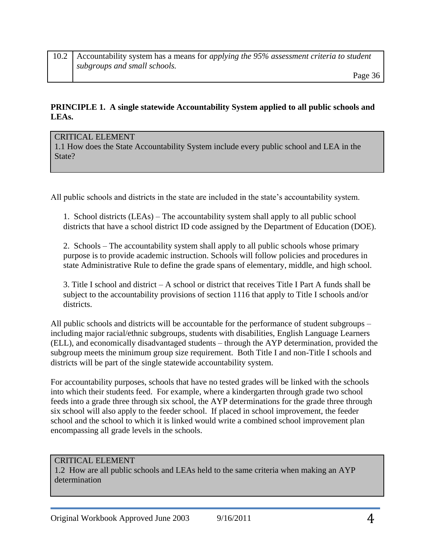### **PRINCIPLE 1. A single statewide Accountability System applied to all public schools and LEAs.**

#### CRITICAL ELEMENT

1.1 How does the State Accountability System include every public school and LEA in the State?

All public schools and districts in the state are included in the state's accountability system.

1. School districts (LEAs) – The accountability system shall apply to all public school districts that have a school district ID code assigned by the Department of Education (DOE).

2. Schools – The accountability system shall apply to all public schools whose primary purpose is to provide academic instruction. Schools will follow policies and procedures in state Administrative Rule to define the grade spans of elementary, middle, and high school.

3. Title I school and district – A school or district that receives Title I Part A funds shall be subject to the accountability provisions of section 1116 that apply to Title I schools and/or districts.

All public schools and districts will be accountable for the performance of student subgroups – including major racial/ethnic subgroups, students with disabilities, English Language Learners (ELL), and economically disadvantaged students – through the AYP determination, provided the subgroup meets the minimum group size requirement. Both Title I and non-Title I schools and districts will be part of the single statewide accountability system.

For accountability purposes, schools that have no tested grades will be linked with the schools into which their students feed. For example, where a kindergarten through grade two school feeds into a grade three through six school, the AYP determinations for the grade three through six school will also apply to the feeder school. If placed in school improvement, the feeder school and the school to which it is linked would write a combined school improvement plan encompassing all grade levels in the schools.

### CRITICAL ELEMENT

1.2 How are all public schools and LEAs held to the same criteria when making an AYP determination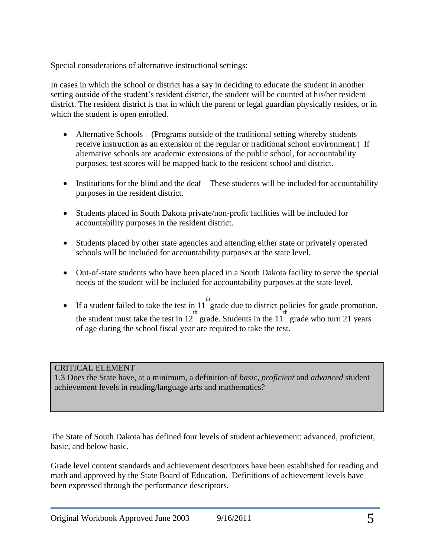Special considerations of alternative instructional settings:

In cases in which the school or district has a say in deciding to educate the student in another setting outside of the student's resident district, the student will be counted at his/her resident district. The resident district is that in which the parent or legal guardian physically resides, or in which the student is open enrolled.

- Alternative Schools (Programs outside of the traditional setting whereby students receive instruction as an extension of the regular or traditional school environment.) If alternative schools are academic extensions of the public school, for accountability purposes, test scores will be mapped back to the resident school and district.
- Institutions for the blind and the deaf These students will be included for accountability purposes in the resident district.
- Students placed in South Dakota private/non-profit facilities will be included for accountability purposes in the resident district.
- Students placed by other state agencies and attending either state or privately operated schools will be included for accountability purposes at the state level.
- Out-of-state students who have been placed in a South Dakota facility to serve the special needs of the student will be included for accountability purposes at the state level.
- If a student failed to take the test in 11 grade due to district policies for grade promotion, th the student must take the test in  $12^{th}$  grade. Students in the  $11^{th}$  grade who turn 21 years of age during the school fiscal year are required to take the test.

# CRITICAL ELEMENT

1.3 Does the State have, at a minimum, a definition of *basic*, *proficient* and *advanced* student achievement levels in reading/language arts and mathematics?

The State of South Dakota has defined four levels of student achievement: advanced, proficient, basic, and below basic.

Grade level content standards and achievement descriptors have been established for reading and math and approved by the State Board of Education. Definitions of achievement levels have been expressed through the performance descriptors.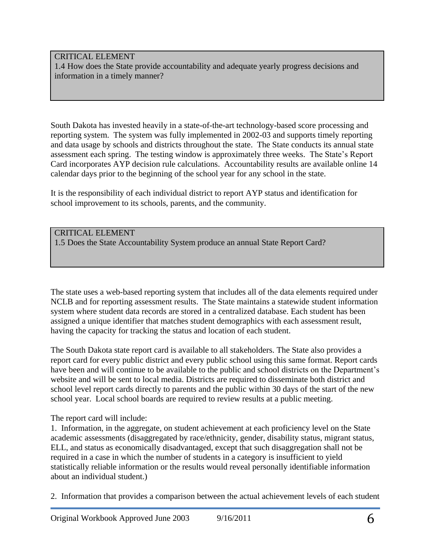### CRITICAL ELEMENT

1.4 How does the State provide accountability and adequate yearly progress decisions and information in a timely manner?

South Dakota has invested heavily in a state-of-the-art technology-based score processing and reporting system. The system was fully implemented in 2002-03 and supports timely reporting and data usage by schools and districts throughout the state. The State conducts its annual state assessment each spring. The testing window is approximately three weeks. The State's Report Card incorporates AYP decision rule calculations. Accountability results are available online 14 calendar days prior to the beginning of the school year for any school in the state.

It is the responsibility of each individual district to report AYP status and identification for school improvement to its schools, parents, and the community.

### CRITICAL ELEMENT

1.5 Does the State Accountability System produce an annual State Report Card?

The state uses a web-based reporting system that includes all of the data elements required under NCLB and for reporting assessment results. The State maintains a statewide student information system where student data records are stored in a centralized database. Each student has been assigned a unique identifier that matches student demographics with each assessment result, having the capacity for tracking the status and location of each student.

The South Dakota state report card is available to all stakeholders. The State also provides a report card for every public district and every public school using this same format. Report cards have been and will continue to be available to the public and school districts on the Department's website and will be sent to local media. Districts are required to disseminate both district and school level report cards directly to parents and the public within 30 days of the start of the new school year. Local school boards are required to review results at a public meeting.

### The report card will include:

1. Information, in the aggregate, on student achievement at each proficiency level on the State academic assessments (disaggregated by race/ethnicity, gender, disability status, migrant status, ELL, and status as economically disadvantaged, except that such disaggregation shall not be required in a case in which the number of students in a category is insufficient to yield statistically reliable information or the results would reveal personally identifiable information about an individual student.)

2. Information that provides a comparison between the actual achievement levels of each student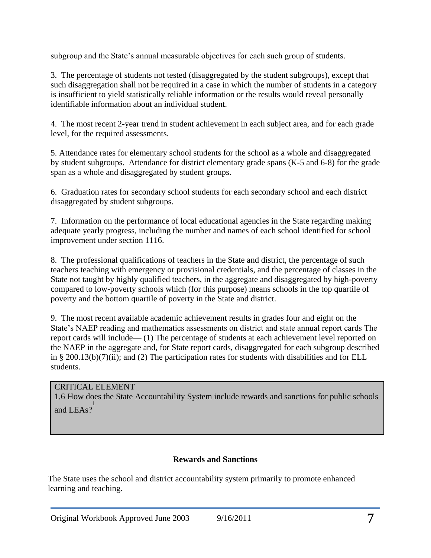subgroup and the State's annual measurable objectives for each such group of students.

3. The percentage of students not tested (disaggregated by the student subgroups), except that such disaggregation shall not be required in a case in which the number of students in a category is insufficient to yield statistically reliable information or the results would reveal personally identifiable information about an individual student.

4. The most recent 2-year trend in student achievement in each subject area, and for each grade level, for the required assessments.

5. Attendance rates for elementary school students for the school as a whole and disaggregated by student subgroups. Attendance for district elementary grade spans (K-5 and 6-8) for the grade span as a whole and disaggregated by student groups.

6. Graduation rates for secondary school students for each secondary school and each district disaggregated by student subgroups.

7. Information on the performance of local educational agencies in the State regarding making adequate yearly progress, including the number and names of each school identified for school improvement under section 1116.

8. The professional qualifications of teachers in the State and district, the percentage of such teachers teaching with emergency or provisional credentials, and the percentage of classes in the State not taught by highly qualified teachers, in the aggregate and disaggregated by high-poverty compared to low-poverty schools which (for this purpose) means schools in the top quartile of poverty and the bottom quartile of poverty in the State and district.

9. The most recent available academic achievement results in grades four and eight on the State's NAEP reading and mathematics assessments on district and state annual report cards The report cards will include— (1) The percentage of students at each achievement level reported on the NAEP in the aggregate and, for State report cards, disaggregated for each subgroup described in § 200.13(b)(7)(ii); and (2) The participation rates for students with disabilities and for ELL students.

# CRITICAL ELEMENT

1.6 How does the State Accountability System include rewards and sanctions for public schools and LEAs? 1

# **Rewards and Sanctions**

The State uses the school and district accountability system primarily to promote enhanced learning and teaching.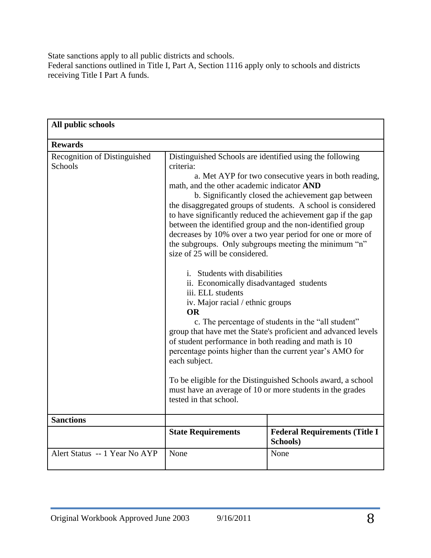State sanctions apply to all public districts and schools. Federal sanctions outlined in Title I, Part A, Section 1116 apply only to schools and districts receiving Title I Part A funds.

| All public schools                             |                                                                                                                                                                                                                                                                                                                                                                                                                    |                                                                                                                                                                                                                                                                                                                                                                                                                                                                                                                                                                                                                                                                                                                                                   |
|------------------------------------------------|--------------------------------------------------------------------------------------------------------------------------------------------------------------------------------------------------------------------------------------------------------------------------------------------------------------------------------------------------------------------------------------------------------------------|---------------------------------------------------------------------------------------------------------------------------------------------------------------------------------------------------------------------------------------------------------------------------------------------------------------------------------------------------------------------------------------------------------------------------------------------------------------------------------------------------------------------------------------------------------------------------------------------------------------------------------------------------------------------------------------------------------------------------------------------------|
| <b>Rewards</b>                                 |                                                                                                                                                                                                                                                                                                                                                                                                                    |                                                                                                                                                                                                                                                                                                                                                                                                                                                                                                                                                                                                                                                                                                                                                   |
| Recognition of Distinguished<br><b>Schools</b> | Distinguished Schools are identified using the following<br>criteria:<br>math, and the other academic indicator AND<br>size of 25 will be considered.<br><i>i.</i> Students with disabilities<br>ii. Economically disadvantaged students<br>iii. ELL students<br>iv. Major racial / ethnic groups<br><b>OR</b><br>of student performance in both reading and math is 10<br>each subject.<br>tested in that school. | a. Met AYP for two consecutive years in both reading,<br>b. Significantly closed the achievement gap between<br>the disaggregated groups of students. A school is considered<br>to have significantly reduced the achievement gap if the gap<br>between the identified group and the non-identified group<br>decreases by 10% over a two year period for one or more of<br>the subgroups. Only subgroups meeting the minimum "n"<br>c. The percentage of students in the "all student"<br>group that have met the State's proficient and advanced levels<br>percentage points higher than the current year's AMO for<br>To be eligible for the Distinguished Schools award, a school<br>must have an average of 10 or more students in the grades |
| <b>Sanctions</b>                               |                                                                                                                                                                                                                                                                                                                                                                                                                    |                                                                                                                                                                                                                                                                                                                                                                                                                                                                                                                                                                                                                                                                                                                                                   |
|                                                | <b>State Requirements</b>                                                                                                                                                                                                                                                                                                                                                                                          | <b>Federal Requirements (Title I)</b><br>Schools)                                                                                                                                                                                                                                                                                                                                                                                                                                                                                                                                                                                                                                                                                                 |
| Alert Status -- 1 Year No AYP                  | None                                                                                                                                                                                                                                                                                                                                                                                                               | None                                                                                                                                                                                                                                                                                                                                                                                                                                                                                                                                                                                                                                                                                                                                              |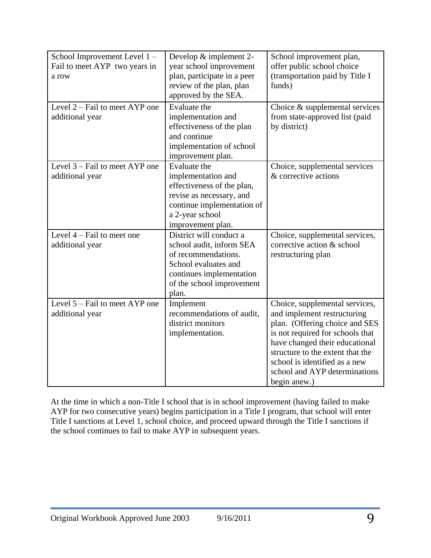| School Improvement Level 1-<br>Fail to meet AYP two years in<br>a row<br>Level $2 -$ Fail to meet AYP one | Develop & implement 2-<br>year school improvement<br>plan, participate in a peer<br>review of the plan, plan<br>approved by the SEA.<br>Evaluate the                 | School improvement plan,<br>offer public school choice<br>(transportation paid by Title I<br>funds)<br>Choice $\&$ supplemental services                                                                                                                                                    |
|-----------------------------------------------------------------------------------------------------------|----------------------------------------------------------------------------------------------------------------------------------------------------------------------|---------------------------------------------------------------------------------------------------------------------------------------------------------------------------------------------------------------------------------------------------------------------------------------------|
| additional year                                                                                           | implementation and<br>effectiveness of the plan<br>and continue                                                                                                      | from state-approved list (paid<br>by district)                                                                                                                                                                                                                                              |
|                                                                                                           | implementation of school<br>improvement plan.                                                                                                                        |                                                                                                                                                                                                                                                                                             |
| Level $3 -$ Fail to meet AYP one<br>additional year                                                       | Evaluate the<br>implementation and<br>effectiveness of the plan,<br>revise as necessary, and<br>continue implementation of<br>a 2-year school<br>improvement plan.   | Choice, supplemental services<br>& corrective actions                                                                                                                                                                                                                                       |
| Level $4$ – Fail to meet one<br>additional year                                                           | District will conduct a<br>school audit, inform SEA<br>of recommendations.<br>School evaluates and<br>continues implementation<br>of the school improvement<br>plan. | Choice, supplemental services,<br>corrective action & school<br>restructuring plan                                                                                                                                                                                                          |
| Level 5 – Fail to meet AYP one<br>additional year                                                         | Implement<br>recommendations of audit,<br>district monitors<br>implementation.                                                                                       | Choice, supplemental services,<br>and implement restructuring<br>plan. (Offering choice and SES<br>is not required for schools that<br>have changed their educational<br>structure to the extent that the<br>school is identified as a new<br>school and AYP determinations<br>begin anew.) |

At the time in which a non-Title I school that is in school improvement (having failed to make AYP for two consecutive years) begins participation in a Title I program, that school will enter Title I sanctions at Level 1, school choice, and proceed upward through the Title I sanctions if the school continues to fail to make AYP in subsequent years.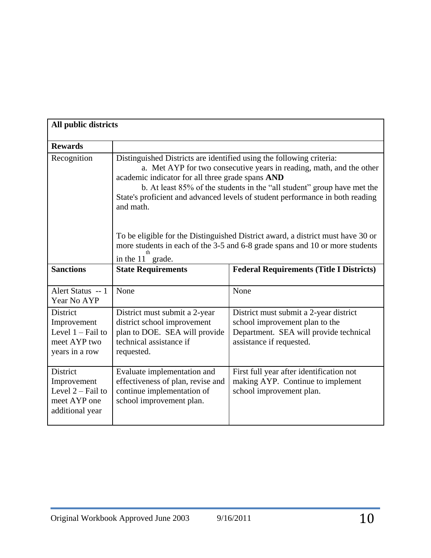| All public districts                                                                    |                                                                                                                                                                                                                                                                                                                                                                                                                                                                                                                                                                  |                                                                                                                                                |
|-----------------------------------------------------------------------------------------|------------------------------------------------------------------------------------------------------------------------------------------------------------------------------------------------------------------------------------------------------------------------------------------------------------------------------------------------------------------------------------------------------------------------------------------------------------------------------------------------------------------------------------------------------------------|------------------------------------------------------------------------------------------------------------------------------------------------|
| <b>Rewards</b>                                                                          |                                                                                                                                                                                                                                                                                                                                                                                                                                                                                                                                                                  |                                                                                                                                                |
| Recognition                                                                             | Distinguished Districts are identified using the following criteria:<br>a. Met AYP for two consecutive years in reading, math, and the other<br>academic indicator for all three grade spans AND<br>b. At least 85% of the students in the "all student" group have met the<br>State's proficient and advanced levels of student performance in both reading<br>and math.<br>To be eligible for the Distinguished District award, a district must have 30 or<br>more students in each of the 3-5 and 6-8 grade spans and 10 or more students<br>in the 11 grade. |                                                                                                                                                |
| <b>Sanctions</b>                                                                        | <b>State Requirements</b>                                                                                                                                                                                                                                                                                                                                                                                                                                                                                                                                        | <b>Federal Requirements (Title I Districts)</b>                                                                                                |
| Alert Status -- 1<br>Year No AYP                                                        | None                                                                                                                                                                                                                                                                                                                                                                                                                                                                                                                                                             | None                                                                                                                                           |
| <b>District</b><br>Improvement<br>Level $1 -$ Fail to<br>meet AYP two<br>years in a row | District must submit a 2-year<br>district school improvement<br>plan to DOE. SEA will provide<br>technical assistance if<br>requested.                                                                                                                                                                                                                                                                                                                                                                                                                           | District must submit a 2-year district<br>school improvement plan to the<br>Department. SEA will provide technical<br>assistance if requested. |
| District<br>Improvement<br>Level $2$ – Fail to<br>meet AYP one<br>additional year       | Evaluate implementation and<br>effectiveness of plan, revise and<br>continue implementation of<br>school improvement plan.                                                                                                                                                                                                                                                                                                                                                                                                                                       | First full year after identification not<br>making AYP. Continue to implement<br>school improvement plan.                                      |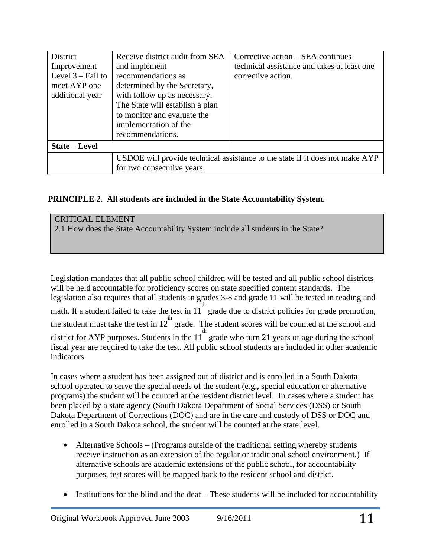| District             | Receive district audit from SEA                                              | Corrective action – SEA continues           |  |
|----------------------|------------------------------------------------------------------------------|---------------------------------------------|--|
| Improvement          | and implement                                                                | technical assistance and takes at least one |  |
| Level $3 -$ Fail to  | recommendations as                                                           | corrective action.                          |  |
| meet AYP one         | determined by the Secretary,                                                 |                                             |  |
| additional year      | with follow up as necessary.                                                 |                                             |  |
|                      | The State will establish a plan                                              |                                             |  |
|                      | to monitor and evaluate the                                                  |                                             |  |
|                      | implementation of the                                                        |                                             |  |
|                      | recommendations.                                                             |                                             |  |
| <b>State – Level</b> |                                                                              |                                             |  |
|                      | USDOE will provide technical assistance to the state if it does not make AYP |                                             |  |
|                      | for two consecutive years.                                                   |                                             |  |

# **PRINCIPLE 2. All students are included in the State Accountability System.**

# CRITICAL ELEMENT 2.1 How does the State Accountability System include all students in the State?

Legislation mandates that all public school children will be tested and all public school districts will be held accountable for proficiency scores on state specified content standards. The legislation also requires that all students in grades 3-8 and grade 11 will be tested in reading and  $\frac{1}{\pi}$  math. If a student failed to take the test in 11<sup>th</sup> grade due to district policies for grade promotion, the student must take the test in  $12^{th}$  grade. The student scores will be counted at the school and district for AYP purposes. Students in the  $11^{th}$  grade who turn 21 years of age during the school fiscal year are required to take the test. All public school students are included in other academic indicators.

In cases where a student has been assigned out of district and is enrolled in a South Dakota school operated to serve the special needs of the student (e.g., special education or alternative programs) the student will be counted at the resident district level. In cases where a student has been placed by a state agency (South Dakota Department of Social Services (DSS) or South Dakota Department of Corrections (DOC) and are in the care and custody of DSS or DOC and enrolled in a South Dakota school, the student will be counted at the state level.

- Alternative Schools (Programs outside of the traditional setting whereby students receive instruction as an extension of the regular or traditional school environment.) If alternative schools are academic extensions of the public school, for accountability purposes, test scores will be mapped back to the resident school and district.
- Institutions for the blind and the deaf These students will be included for accountability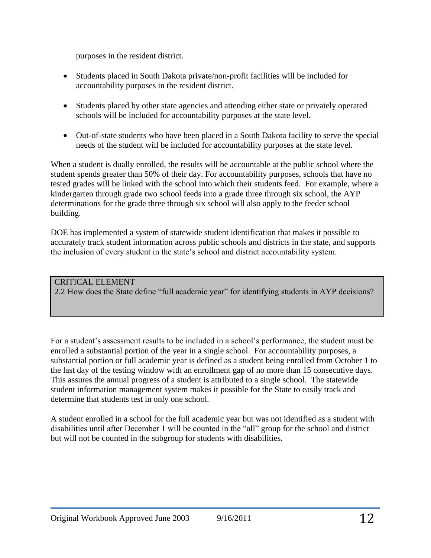purposes in the resident district.

- Students placed in South Dakota private/non-profit facilities will be included for accountability purposes in the resident district.
- Students placed by other state agencies and attending either state or privately operated schools will be included for accountability purposes at the state level.
- Out-of-state students who have been placed in a South Dakota facility to serve the special needs of the student will be included for accountability purposes at the state level.

When a student is dually enrolled, the results will be accountable at the public school where the student spends greater than 50% of their day. For accountability purposes, schools that have no tested grades will be linked with the school into which their students feed. For example, where a kindergarten through grade two school feeds into a grade three through six school, the AYP determinations for the grade three through six school will also apply to the feeder school building.

DOE has implemented a system of statewide student identification that makes it possible to accurately track student information across public schools and districts in the state, and supports the inclusion of every student in the state's school and district accountability system.

### CRITICAL ELEMENT 2.2 How does the State define "full academic year" for identifying students in AYP decisions?

For a student's assessment results to be included in a school's performance, the student must be enrolled a substantial portion of the year in a single school. For accountability purposes, a substantial portion or full academic year is defined as a student being enrolled from October 1 to the last day of the testing window with an enrollment gap of no more than 15 consecutive days. This assures the annual progress of a student is attributed to a single school. The statewide student information management system makes it possible for the State to easily track and determine that students test in only one school.

A student enrolled in a school for the full academic year but was not identified as a student with disabilities until after December 1 will be counted in the "all" group for the school and district but will not be counted in the subgroup for students with disabilities.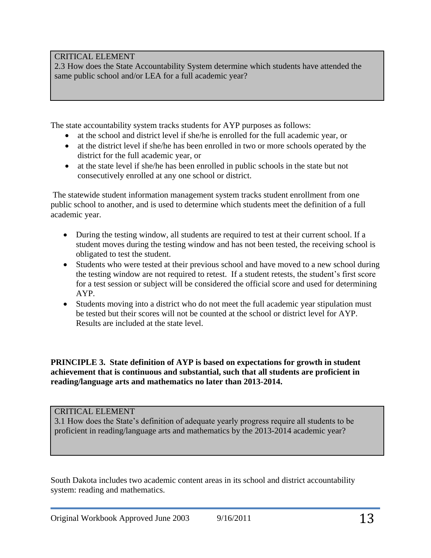# CRITICAL ELEMENT

2.3 How does the State Accountability System determine which students have attended the same public school and/or LEA for a full academic year?

The state accountability system tracks students for AYP purposes as follows:

- at the school and district level if she/he is enrolled for the full academic year, or
- at the district level if she/he has been enrolled in two or more schools operated by the district for the full academic year, or
- at the state level if she/he has been enrolled in public schools in the state but not consecutively enrolled at any one school or district.

The statewide student information management system tracks student enrollment from one public school to another, and is used to determine which students meet the definition of a full academic year.

- During the testing window, all students are required to test at their current school. If a student moves during the testing window and has not been tested, the receiving school is obligated to test the student.
- Students who were tested at their previous school and have moved to a new school during the testing window are not required to retest. If a student retests, the student's first score for a test session or subject will be considered the official score and used for determining AYP.
- Students moving into a district who do not meet the full academic year stipulation must be tested but their scores will not be counted at the school or district level for AYP. Results are included at the state level.

**PRINCIPLE 3. State definition of AYP is based on expectations for growth in student achievement that is continuous and substantial, such that all students are proficient in reading/language arts and mathematics no later than 2013-2014.** 

# CRITICAL ELEMENT

3.1 How does the State's definition of adequate yearly progress require all students to be proficient in reading/language arts and mathematics by the 2013-2014 academic year?

South Dakota includes two academic content areas in its school and district accountability system: reading and mathematics.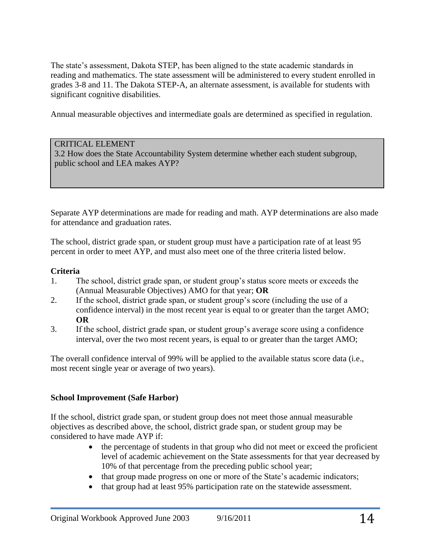The state's assessment, Dakota STEP, has been aligned to the state academic standards in reading and mathematics. The state assessment will be administered to every student enrolled in grades 3-8 and 11. The Dakota STEP-A, an alternate assessment, is available for students with significant cognitive disabilities.

Annual measurable objectives and intermediate goals are determined as specified in regulation.

### CRITICAL ELEMENT

3.2 How does the State Accountability System determine whether each student subgroup, public school and LEA makes AYP?

Separate AYP determinations are made for reading and math. AYP determinations are also made for attendance and graduation rates.

The school, district grade span, or student group must have a participation rate of at least 95 percent in order to meet AYP, and must also meet one of the three criteria listed below.

### **Criteria**

- 1. The school, district grade span, or student group's status score meets or exceeds the (Annual Measurable Objectives) AMO for that year; **OR**
- 2. If the school, district grade span, or student group's score (including the use of a confidence interval) in the most recent year is equal to or greater than the target AMO; **OR**
- 3. If the school, district grade span, or student group's average score using a confidence interval, over the two most recent years, is equal to or greater than the target AMO;

The overall confidence interval of 99% will be applied to the available status score data (i.e., most recent single year or average of two years).

# **School Improvement (Safe Harbor)**

If the school, district grade span, or student group does not meet those annual measurable objectives as described above, the school, district grade span, or student group may be considered to have made AYP if:

- the percentage of students in that group who did not meet or exceed the proficient level of academic achievement on the State assessments for that year decreased by 10% of that percentage from the preceding public school year;
- that group made progress on one or more of the State's academic indicators;
- that group had at least 95% participation rate on the statewide assessment.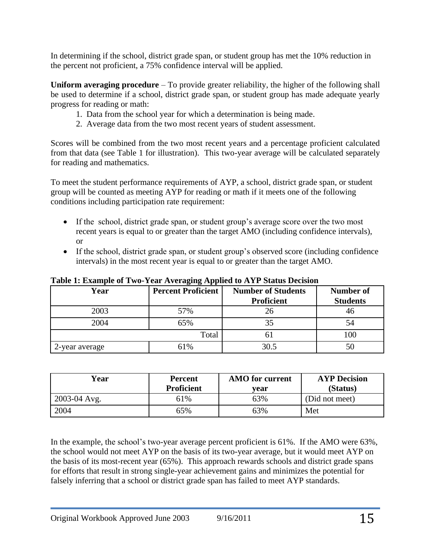In determining if the school, district grade span, or student group has met the 10% reduction in the percent not proficient, a 75% confidence interval will be applied.

**Uniform averaging procedure** – To provide greater reliability, the higher of the following shall be used to determine if a school, district grade span, or student group has made adequate yearly progress for reading or math:

- 1. Data from the school year for which a determination is being made.
- 2. Average data from the two most recent years of student assessment.

Scores will be combined from the two most recent years and a percentage proficient calculated from that data (see Table 1 for illustration). This two-year average will be calculated separately for reading and mathematics.

To meet the student performance requirements of AYP, a school, district grade span, or student group will be counted as meeting AYP for reading or math if it meets one of the following conditions including participation rate requirement:

- If the school, district grade span, or student group's average score over the two most recent years is equal to or greater than the target AMO (including confidence intervals), or
- If the school, district grade span, or student group's observed score (including confidence intervals) in the most recent year is equal to or greater than the target AMO.

| Year           | <b>Percent Proficient</b> | <b>Number of Students</b><br>Proficient | <b>Number of</b><br><b>Students</b> |
|----------------|---------------------------|-----------------------------------------|-------------------------------------|
| 2003           | 57%                       | 26                                      | 46                                  |
| 2004           | 65%                       | 35                                      | 34                                  |
|                | Total                     | n i                                     | 100                                 |
| 2-year average | 61%                       | 30.5                                    |                                     |

**Table 1: Example of Two-Year Averaging Applied to AYP Status Decision** 

| Year         | <b>Percent</b><br><b>Proficient</b> | <b>AMO</b> for current<br>vear | <b>AYP</b> Decision<br>(Status) |
|--------------|-------------------------------------|--------------------------------|---------------------------------|
| 2003-04 Avg. | 61%                                 | 63%                            | (Did not meet)                  |
| 2004         | 65%                                 | 63%                            | Met                             |

In the example, the school's two-year average percent proficient is 61%. If the AMO were 63%, the school would not meet AYP on the basis of its two-year average, but it would meet AYP on the basis of its most-recent year (65%). This approach rewards schools and district grade spans for efforts that result in strong single-year achievement gains and minimizes the potential for falsely inferring that a school or district grade span has failed to meet AYP standards.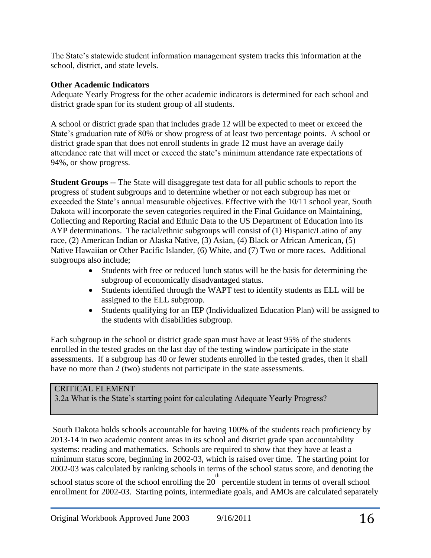The State's statewide student information management system tracks this information at the school, district, and state levels.

### **Other Academic Indicators**

Adequate Yearly Progress for the other academic indicators is determined for each school and district grade span for its student group of all students.

A school or district grade span that includes grade 12 will be expected to meet or exceed the State's graduation rate of 80% or show progress of at least two percentage points. A school or district grade span that does not enroll students in grade 12 must have an average daily attendance rate that will meet or exceed the state's minimum attendance rate expectations of 94%, or show progress.

**Student Groups** -- The State will disaggregate test data for all public schools to report the progress of student subgroups and to determine whether or not each subgroup has met or exceeded the State's annual measurable objectives. Effective with the 10/11 school year, South Dakota will incorporate the seven categories required in the Final Guidance on Maintaining, Collecting and Reporting Racial and Ethnic Data to the US Department of Education into its AYP determinations. The racial/ethnic subgroups will consist of (1) Hispanic/Latino of any race, (2) American Indian or Alaska Native, (3) Asian, (4) Black or African American, (5) Native Hawaiian or Other Pacific Islander, (6) White, and (7) Two or more races. Additional subgroups also include;

- Students with free or reduced lunch status will be the basis for determining the subgroup of economically disadvantaged status.
- Students identified through the WAPT test to identify students as ELL will be assigned to the ELL subgroup.
- Students qualifying for an IEP (Individualized Education Plan) will be assigned to the students with disabilities subgroup.

Each subgroup in the school or district grade span must have at least 95% of the students enrolled in the tested grades on the last day of the testing window participate in the state assessments. If a subgroup has 40 or fewer students enrolled in the tested grades, then it shall have no more than 2 (two) students not participate in the state assessments.

### CRITICAL ELEMENT

3.2a What is the State's starting point for calculating Adequate Yearly Progress?

South Dakota holds schools accountable for having 100% of the students reach proficiency by 2013-14 in two academic content areas in its school and district grade span accountability systems: reading and mathematics. Schools are required to show that they have at least a minimum status score, beginning in 2002-03, which is raised over time. The starting point for 2002-03 was calculated by ranking schools in terms of the school status score, and denoting the

school status score of the school enrolling the  $20<sup>th</sup>$  percentile student in terms of overall school enrollment for 2002-03. Starting points, intermediate goals, and AMOs are calculated separately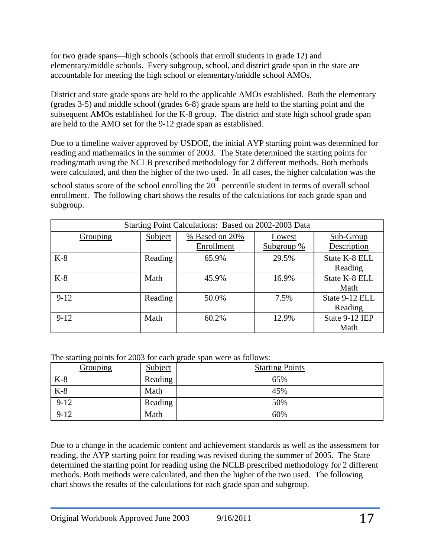for two grade spans—high schools (schools that enroll students in grade 12) and elementary/middle schools. Every subgroup, school, and district grade span in the state are accountable for meeting the high school or elementary/middle school AMOs.

District and state grade spans are held to the applicable AMOs established. Both the elementary (grades 3-5) and middle school (grades 6-8) grade spans are held to the starting point and the subsequent AMOs established for the K-8 group. The district and state high school grade span are held to the AMO set for the 9-12 grade span as established.

Due to a timeline waiver approved by USDOE, the initial AYP starting point was determined for reading and mathematics in the summer of 2003. The State determined the starting points for reading/math using the NCLB prescribed methodology for 2 different methods. Both methods were calculated, and then the higher of the two used. In all cases, the higher calculation was the

school status score of the school enrolling the  $20<sup>th</sup>$  percentile student in terms of overall school enrollment. The following chart shows the results of the calculations for each grade span and subgroup.

| Starting Point Calculations: Based on 2002-2003 Data |         |                |            |                |
|------------------------------------------------------|---------|----------------|------------|----------------|
| Grouping                                             | Subject | % Based on 20% | Lowest     | Sub-Group      |
|                                                      |         | Enrollment     | Subgroup % | Description    |
| $K-8$                                                | Reading | 65.9%          | 29.5%      | State K-8 ELL  |
|                                                      |         |                |            | Reading        |
| $K-8$                                                | Math    | 45.9%          | 16.9%      | State K-8 ELL  |
|                                                      |         |                |            | Math           |
| $9-12$                                               | Reading | 50.0%          | 7.5%       | State 9-12 ELL |
|                                                      |         |                |            | Reading        |
| $9-12$                                               | Math    | 60.2%          | 12.9%      | State 9-12 IEP |
|                                                      |         |                |            | Math           |

The starting points for 2003 for each grade span were as follows:

| ັ້<br>Grouping | Subject | $\tilde{}$<br><b>Starting Points</b> |
|----------------|---------|--------------------------------------|
| $K-8$          | Reading | 65%                                  |
| $K-8$          | Math    | 45%                                  |
| $9 - 12$       | Reading | 50%                                  |
| $9-12$         | Math    | 60%                                  |

Due to a change in the academic content and achievement standards as well as the assessment for reading, the AYP starting point for reading was revised during the summer of 2005. The State determined the starting point for reading using the NCLB prescribed methodology for 2 different methods. Both methods were calculated, and then the higher of the two used. The following chart shows the results of the calculations for each grade span and subgroup.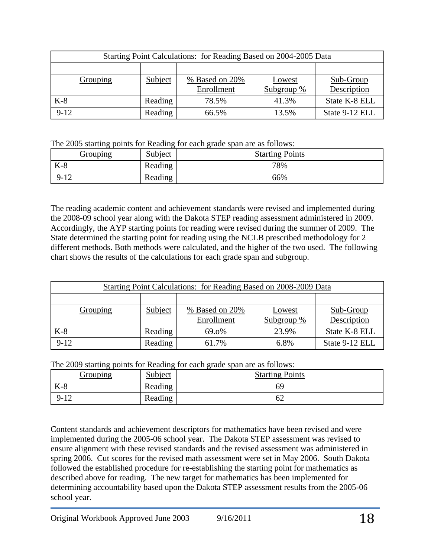| Starting Point Calculations: for Reading Based on 2004-2005 Data |         |                              |                      |                          |
|------------------------------------------------------------------|---------|------------------------------|----------------------|--------------------------|
|                                                                  |         |                              |                      |                          |
| Grouping                                                         | Subject | % Based on 20%<br>Enrollment | Lowest<br>Subgroup % | Sub-Group<br>Description |
| $K-8$                                                            | Reading | 78.5%                        | 41.3%                | State K-8 ELL            |
| $9-12$                                                           | Reading | 66.5%                        | 13.5%                | State 9-12 ELL           |

The 2005 starting points for Reading for each grade span are as follows:

| <u>Grouping</u> | Subject | <b>Starting Points</b> |
|-----------------|---------|------------------------|
| $K-8$           | Reading | 78%                    |
| $9 - 12$        | Reading | 66%                    |

The reading academic content and achievement standards were revised and implemented during the 2008-09 school year along with the Dakota STEP reading assessment administered in 2009. Accordingly, the AYP starting points for reading were revised during the summer of 2009. The State determined the starting point for reading using the NCLB prescribed methodology for 2 different methods. Both methods were calculated, and the higher of the two used. The following chart shows the results of the calculations for each grade span and subgroup.

|          |         | <b>Starting Point Calculations: for Reading Based on 2008-2009 Data</b> |                        |                          |
|----------|---------|-------------------------------------------------------------------------|------------------------|--------------------------|
|          |         |                                                                         |                        |                          |
| Grouping | Subject | % Based on 20%<br>Enrollment                                            | Lowest<br>Subgroup $%$ | Sub-Group<br>Description |
|          |         |                                                                         |                        |                          |
| $K-8$    | Reading | 69.0%                                                                   | 23.9%                  | State K-8 ELL            |
| $9-12$   | Reading | 61.7%                                                                   | 6.8%                   | State 9-12 ELL           |

The 2009 starting points for Reading for each grade span are as follows:

| ັ້<br><u>Grouping</u> | Subject | <b>Starting Points</b> |
|-----------------------|---------|------------------------|
| $K-8$                 | Reading | 69                     |
| $9 - 12$              | Reading | ∪∠                     |

Content standards and achievement descriptors for mathematics have been revised and were implemented during the 2005-06 school year. The Dakota STEP assessment was revised to ensure alignment with these revised standards and the revised assessment was administered in spring 2006. Cut scores for the revised math assessment were set in May 2006. South Dakota followed the established procedure for re-establishing the starting point for mathematics as described above for reading. The new target for mathematics has been implemented for determining accountability based upon the Dakota STEP assessment results from the 2005-06 school year.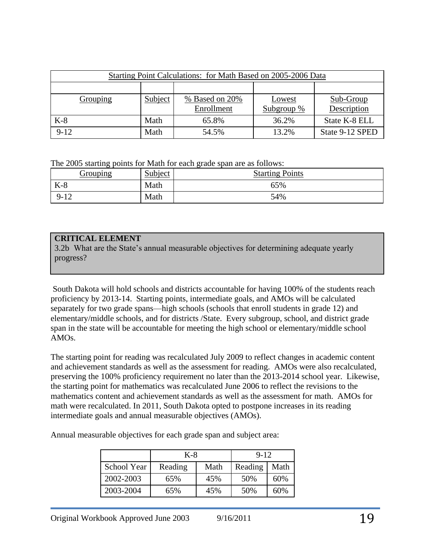|          |         | Starting Point Calculations: for Math Based on 2005-2006 Data |            |                 |
|----------|---------|---------------------------------------------------------------|------------|-----------------|
|          |         |                                                               |            |                 |
| Grouping | Subject | % Based on 20%                                                | Lowest     | Sub-Group       |
|          |         | Enrollment                                                    | Subgroup % | Description     |
| $K-8$    | Math    | 65.8%                                                         | 36.2%      | State K-8 ELL   |
| $9-12$   | Math    | 54.5%                                                         | 13.2%      | State 9-12 SPED |

The 2005 starting points for Math for each grade span are as follows:

| Grouping | Subject | <b>Starting Points</b> |
|----------|---------|------------------------|
| V<br>N-0 | Math    | 65%                    |
| $9 - 12$ | Math    | 54%                    |

# **CRITICAL ELEMENT**

3.2b What are the State's annual measurable objectives for determining adequate yearly progress?

South Dakota will hold schools and districts accountable for having 100% of the students reach proficiency by 2013-14. Starting points, intermediate goals, and AMOs will be calculated separately for two grade spans—high schools (schools that enroll students in grade 12) and elementary/middle schools, and for districts /State. Every subgroup, school, and district grade span in the state will be accountable for meeting the high school or elementary/middle school AMOs.

The starting point for reading was recalculated July 2009 to reflect changes in academic content and achievement standards as well as the assessment for reading. AMOs were also recalculated, preserving the 100% proficiency requirement no later than the 2013-2014 school year. Likewise, the starting point for mathematics was recalculated June 2006 to reflect the revisions to the mathematics content and achievement standards as well as the assessment for math. AMOs for math were recalculated. In 2011, South Dakota opted to postpone increases in its reading intermediate goals and annual measurable objectives (AMOs).

Annual measurable objectives for each grade span and subject area:

|                    | K-8     |      | $9 - 12$ |      |
|--------------------|---------|------|----------|------|
| <b>School Year</b> | Reading | Math | Reading  | Math |
| 2002-2003          | 65%     | 45%  | 50%      | 60%  |
| 2003-2004          | 65%     | 45%  | 50%      | 60%  |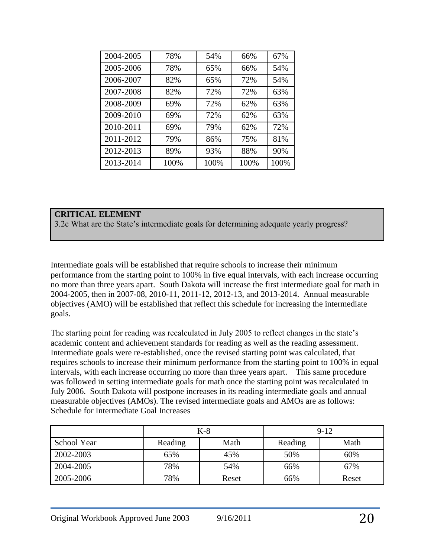| 2004-2005 | 78%  | 54%  | 66%  | 67%  |
|-----------|------|------|------|------|
| 2005-2006 | 78%  | 65%  | 66%  | 54%  |
| 2006-2007 | 82%  | 65%  | 72%  | 54%  |
| 2007-2008 | 82%  | 72%  | 72%  | 63%  |
| 2008-2009 | 69%  | 72%  | 62%  | 63%  |
| 2009-2010 | 69%  | 72%  | 62%  | 63%  |
| 2010-2011 | 69%  | 79%  | 62%  | 72%  |
| 2011-2012 | 79%  | 86%  | 75%  | 81%  |
| 2012-2013 | 89%  | 93%  | 88%  | 90%  |
| 2013-2014 | 100% | 100% | 100% | 100% |

### **CRITICAL ELEMENT**

3.2c What are the State's intermediate goals for determining adequate yearly progress?

Intermediate goals will be established that require schools to increase their minimum performance from the starting point to 100% in five equal intervals, with each increase occurring no more than three years apart. South Dakota will increase the first intermediate goal for math in 2004-2005, then in 2007-08, 2010-11, 2011-12, 2012-13, and 2013-2014. Annual measurable objectives (AMO) will be established that reflect this schedule for increasing the intermediate goals.

The starting point for reading was recalculated in July 2005 to reflect changes in the state's academic content and achievement standards for reading as well as the reading assessment. Intermediate goals were re-established, once the revised starting point was calculated, that requires schools to increase their minimum performance from the starting point to 100% in equal intervals, with each increase occurring no more than three years apart. This same procedure was followed in setting intermediate goals for math once the starting point was recalculated in July 2006. South Dakota will postpone increases in its reading intermediate goals and annual measurable objectives (AMOs). The revised intermediate goals and AMOs are as follows: Schedule for Intermediate Goal Increases

|             |         | $K-8$ |         | $9 - 12$ |
|-------------|---------|-------|---------|----------|
| School Year | Reading | Math  | Reading | Math     |
| 2002-2003   | 65%     | 45%   | 50%     | 60%      |
| 2004-2005   | 78%     | 54%   | 66%     | 67%      |
| 2005-2006   | 78%     | Reset | 66%     | Reset    |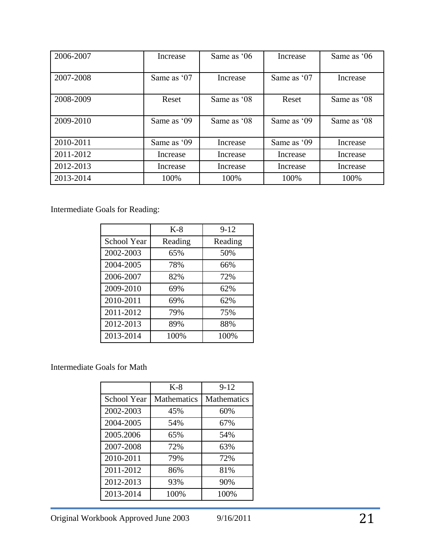| 2006-2007 | Increase    | Same as '06 | Increase    | Same as '06 |
|-----------|-------------|-------------|-------------|-------------|
| 2007-2008 | Same as '07 | Increase    | Same as '07 | Increase    |
| 2008-2009 | Reset       | Same as '08 | Reset       | Same as '08 |
| 2009-2010 | Same as '09 | Same as '08 | Same as '09 | Same as '08 |
| 2010-2011 | Same as '09 | Increase    | Same as '09 | Increase    |
| 2011-2012 | Increase    | Increase    | Increase    | Increase    |
| 2012-2013 | Increase    | Increase    | Increase    | Increase    |
| 2013-2014 | 100%        | 100%        | 100%        | 100%        |

Intermediate Goals for Reading:

|             | $K-8$   | $9 - 12$ |
|-------------|---------|----------|
| School Year | Reading | Reading  |
| 2002-2003   | 65%     | 50%      |
| 2004-2005   | 78%     | 66%      |
| 2006-2007   | 82%     | 72%      |
| 2009-2010   | 69%     | 62%      |
| 2010-2011   | 69%     | 62%      |
| 2011-2012   | 79%     | 75%      |
| 2012-2013   | 89%     | 88%      |
| 2013-2014   | 100%    | 100%     |

Intermediate Goals for Math

|             | $K-8$       | $9-12$             |
|-------------|-------------|--------------------|
| School Year | Mathematics | <b>Mathematics</b> |
| 2002-2003   | 45%         | 60%                |
| 2004-2005   | 54%         | 67%                |
| 2005.2006   | 65%         | 54%                |
| 2007-2008   | 72%         | 63%                |
| 2010-2011   | 79%         | 72%                |
| 2011-2012   | 86%         | 81%                |
| 2012-2013   | 93%         | 90%                |
| 2013-2014   | 100%        | 100%               |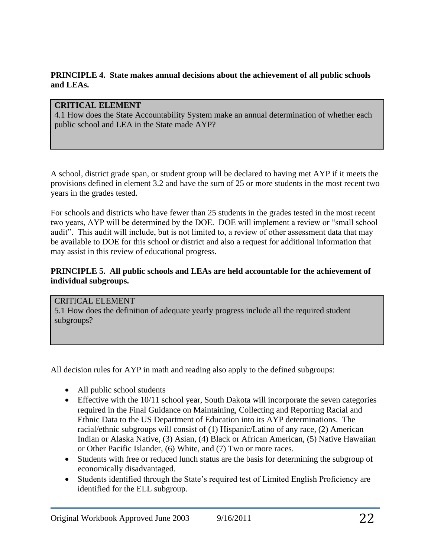### **PRINCIPLE 4. State makes annual decisions about the achievement of all public schools and LEAs.**

# **CRITICAL ELEMENT**

4.1 How does the State Accountability System make an annual determination of whether each public school and LEA in the State made AYP?

A school, district grade span, or student group will be declared to having met AYP if it meets the provisions defined in element 3.2 and have the sum of 25 or more students in the most recent two years in the grades tested.

For schools and districts who have fewer than 25 students in the grades tested in the most recent two years, AYP will be determined by the DOE. DOE will implement a review or "small school audit". This audit will include, but is not limited to, a review of other assessment data that may be available to DOE for this school or district and also a request for additional information that may assist in this review of educational progress.

### **PRINCIPLE 5. All public schools and LEAs are held accountable for the achievement of individual subgroups.**

CRITICAL ELEMENT 5.1 How does the definition of adequate yearly progress include all the required student subgroups?

All decision rules for AYP in math and reading also apply to the defined subgroups:

- All public school students
- Effective with the 10/11 school year, South Dakota will incorporate the seven categories required in the Final Guidance on Maintaining, Collecting and Reporting Racial and Ethnic Data to the US Department of Education into its AYP determinations. The racial/ethnic subgroups will consist of (1) Hispanic/Latino of any race, (2) American Indian or Alaska Native, (3) Asian, (4) Black or African American, (5) Native Hawaiian or Other Pacific Islander, (6) White, and (7) Two or more races.
- Students with free or reduced lunch status are the basis for determining the subgroup of economically disadvantaged.
- Students identified through the State's required test of Limited English Proficiency are identified for the ELL subgroup.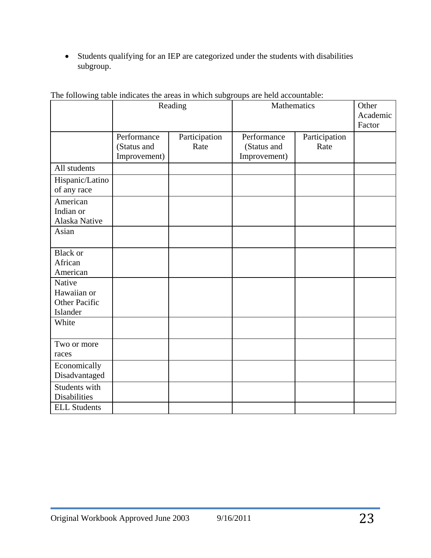Students qualifying for an IEP are categorized under the students with disabilities subgroup.

|                                                           | Reading                                    |                       |                                            | Mathematics           |  |  |
|-----------------------------------------------------------|--------------------------------------------|-----------------------|--------------------------------------------|-----------------------|--|--|
|                                                           | Performance<br>(Status and<br>Improvement) | Participation<br>Rate | Performance<br>(Status and<br>Improvement) | Participation<br>Rate |  |  |
| All students                                              |                                            |                       |                                            |                       |  |  |
| Hispanic/Latino<br>of any race                            |                                            |                       |                                            |                       |  |  |
| American<br>Indian or<br>Alaska Native                    |                                            |                       |                                            |                       |  |  |
| Asian                                                     |                                            |                       |                                            |                       |  |  |
| <b>Black or</b><br>African<br>American                    |                                            |                       |                                            |                       |  |  |
| Native<br>Hawaiian or<br><b>Other Pacific</b><br>Islander |                                            |                       |                                            |                       |  |  |
| White                                                     |                                            |                       |                                            |                       |  |  |
| Two or more<br>races                                      |                                            |                       |                                            |                       |  |  |
| Economically<br>Disadvantaged                             |                                            |                       |                                            |                       |  |  |
| Students with<br><b>Disabilities</b>                      |                                            |                       |                                            |                       |  |  |
| <b>ELL Students</b>                                       |                                            |                       |                                            |                       |  |  |

The following table indicates the areas in which subgroups are held accountable: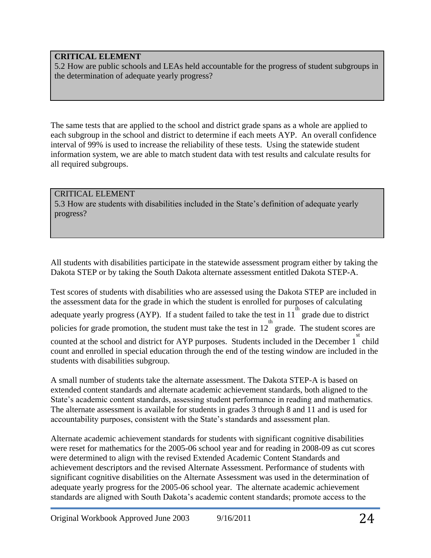# **CRITICAL ELEMENT**

5.2 How are public schools and LEAs held accountable for the progress of student subgroups in the determination of adequate yearly progress?

The same tests that are applied to the school and district grade spans as a whole are applied to each subgroup in the school and district to determine if each meets AYP. An overall confidence interval of 99% is used to increase the reliability of these tests. Using the statewide student information system, we are able to match student data with test results and calculate results for all required subgroups.

#### CRITICAL ELEMENT 5.3 How are students with disabilities included in the State's definition of adequate yearly progress?

All students with disabilities participate in the statewide assessment program either by taking the Dakota STEP or by taking the South Dakota alternate assessment entitled Dakota STEP-A.

Test scores of students with disabilities who are assessed using the Dakota STEP are included in the assessment data for the grade in which the student is enrolled for purposes of calculating adequate yearly progress (AYP). If a student failed to take the test in 11 grade due to district policies for grade promotion, the student must take the test in  $12^{th}$  grade. The student scores are For counted at the school and district for AYP purposes. Students included in the December  $1^{st}$  child count and enrolled in special education through the end of the testing window are included in the students with disabilities subgroup.

A small number of students take the alternate assessment. The Dakota STEP-A is based on extended content standards and alternate academic achievement standards, both aligned to the State's academic content standards, assessing student performance in reading and mathematics. The alternate assessment is available for students in grades 3 through 8 and 11 and is used for accountability purposes, consistent with the State's standards and assessment plan.

Alternate academic achievement standards for students with significant cognitive disabilities were reset for mathematics for the 2005-06 school year and for reading in 2008-09 as cut scores were determined to align with the revised Extended Academic Content Standards and achievement descriptors and the revised Alternate Assessment. Performance of students with significant cognitive disabilities on the Alternate Assessment was used in the determination of adequate yearly progress for the 2005-06 school year. The alternate academic achievement standards are aligned with South Dakota's academic content standards; promote access to the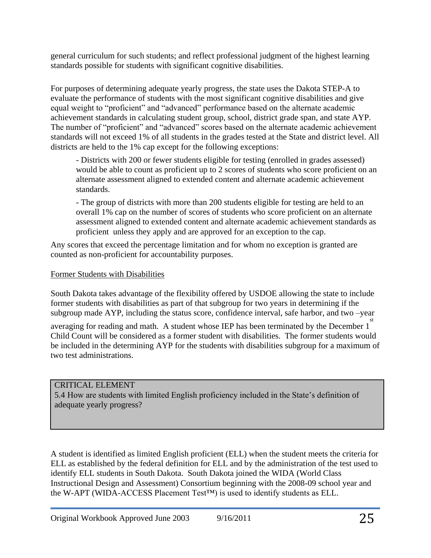general curriculum for such students; and reflect professional judgment of the highest learning standards possible for students with significant cognitive disabilities.

For purposes of determining adequate yearly progress, the state uses the Dakota STEP-A to evaluate the performance of students with the most significant cognitive disabilities and give equal weight to "proficient" and "advanced" performance based on the alternate academic achievement standards in calculating student group, school, district grade span, and state AYP. The number of "proficient" and "advanced" scores based on the alternate academic achievement standards will not exceed 1% of all students in the grades tested at the State and district level. All districts are held to the 1% cap except for the following exceptions:

- Districts with 200 or fewer students eligible for testing (enrolled in grades assessed) would be able to count as proficient up to 2 scores of students who score proficient on an alternate assessment aligned to extended content and alternate academic achievement standards.

- The group of districts with more than 200 students eligible for testing are held to an overall 1% cap on the number of scores of students who score proficient on an alternate assessment aligned to extended content and alternate academic achievement standards as proficient unless they apply and are approved for an exception to the cap.

Any scores that exceed the percentage limitation and for whom no exception is granted are counted as non-proficient for accountability purposes.

### Former Students with Disabilities

South Dakota takes advantage of the flexibility offered by USDOE allowing the state to include former students with disabilities as part of that subgroup for two years in determining if the subgroup made AYP, including the status score, confidence interval, safe harbor, and two –year

averaging for reading and math. A student whose IEP has been terminated by the December 1<sup>st</sup> Child Count will be considered as a former student with disabilities. The former students would be included in the determining AYP for the students with disabilities subgroup for a maximum of two test administrations.

# CRITICAL ELEMENT

5.4 How are students with limited English proficiency included in the State's definition of adequate yearly progress?

A student is identified as limited English proficient (ELL) when the student meets the criteria for ELL as established by the federal definition for ELL and by the administration of the test used to identify ELL students in South Dakota. South Dakota joined the WIDA (World Class Instructional Design and Assessment) Consortium beginning with the 2008-09 school year and the W-APT (WIDA-ACCESS Placement Test™) is used to identify students as ELL.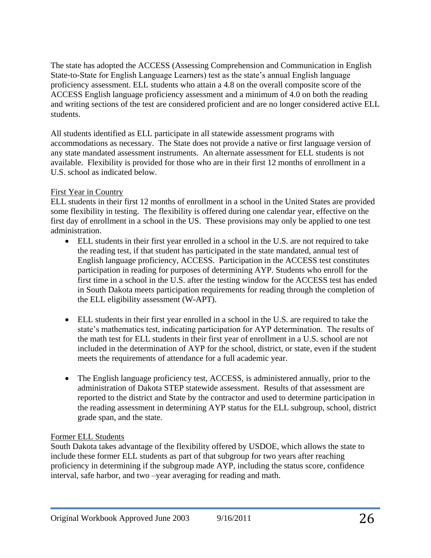The state has adopted the ACCESS (Assessing Comprehension and Communication in English State-to-State for English Language Learners) test as the state's annual English language proficiency assessment. ELL students who attain a 4.8 on the overall composite score of the ACCESS English language proficiency assessment and a minimum of 4.0 on both the reading and writing sections of the test are considered proficient and are no longer considered active ELL students.

All students identified as ELL participate in all statewide assessment programs with accommodations as necessary. The State does not provide a native or first language version of any state mandated assessment instruments. An alternate assessment for ELL students is not available. Flexibility is provided for those who are in their first 12 months of enrollment in a U.S. school as indicated below.

# First Year in Country

ELL students in their first 12 months of enrollment in a school in the United States are provided some flexibility in testing. The flexibility is offered during one calendar year, effective on the first day of enrollment in a school in the US. These provisions may only be applied to one test administration.

- ELL students in their first year enrolled in a school in the U.S. are not required to take the reading test, if that student has participated in the state mandated, annual test of English language proficiency, ACCESS. Participation in the ACCESS test constitutes participation in reading for purposes of determining AYP. Students who enroll for the first time in a school in the U.S. after the testing window for the ACCESS test has ended in South Dakota meets participation requirements for reading through the completion of the ELL eligibility assessment (W-APT).
- ELL students in their first year enrolled in a school in the U.S. are required to take the state's mathematics test, indicating participation for AYP determination. The results of the math test for ELL students in their first year of enrollment in a U.S. school are not included in the determination of AYP for the school, district, or state, even if the student meets the requirements of attendance for a full academic year.
- The English language proficiency test, ACCESS, is administered annually, prior to the administration of Dakota STEP statewide assessment. Results of that assessment are reported to the district and State by the contractor and used to determine participation in the reading assessment in determining AYP status for the ELL subgroup, school, district grade span, and the state.

# Former ELL Students

South Dakota takes advantage of the flexibility offered by USDOE, which allows the state to include these former ELL students as part of that subgroup for two years after reaching proficiency in determining if the subgroup made AYP, including the status score, confidence interval, safe harbor, and two –year averaging for reading and math.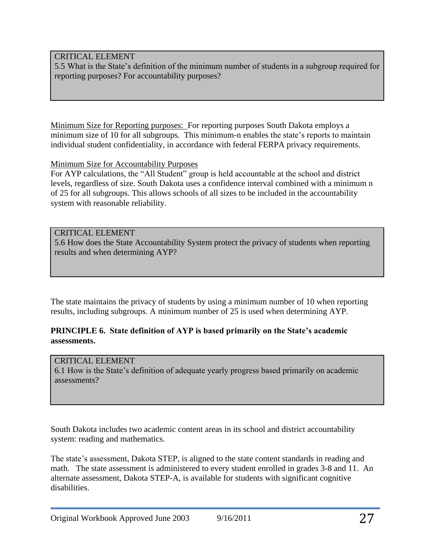### CRITICAL ELEMENT

5.5 What is the State's definition of the minimum number of students in a subgroup required for reporting purposes? For accountability purposes?

Minimum Size for Reporting purposes: For reporting purposes South Dakota employs a minimum size of 10 for all subgroups. This minimum-n enables the state's reports to maintain individual student confidentiality, in accordance with federal FERPA privacy requirements.

Minimum Size for Accountability Purposes

For AYP calculations, the "All Student" group is held accountable at the school and district levels, regardless of size. South Dakota uses a confidence interval combined with a minimum n of 25 for all subgroups. This allows schools of all sizes to be included in the accountability system with reasonable reliability.

### CRITICAL ELEMENT

5.6 How does the State Accountability System protect the privacy of students when reporting results and when determining AYP?

The state maintains the privacy of students by using a minimum number of 10 when reporting results, including subgroups. A minimum number of 25 is used when determining AYP.

### **PRINCIPLE 6. State definition of AYP is based primarily on the State's academic assessments.**

# CRITICAL ELEMENT

6.1 How is the State's definition of adequate yearly progress based primarily on academic assessments?

South Dakota includes two academic content areas in its school and district accountability system: reading and mathematics.

The state's assessment, Dakota STEP, is aligned to the state content standards in reading and math. The state assessment is administered to every student enrolled in grades 3-8 and 11. An alternate assessment, Dakota STEP-A, is available for students with significant cognitive disabilities.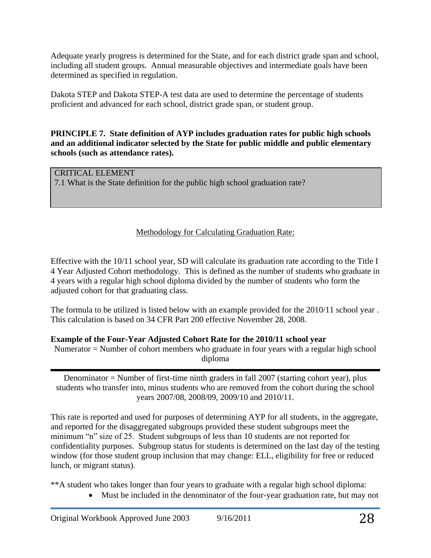Adequate yearly progress is determined for the State, and for each district grade span and school, including all student groups. Annual measurable objectives and intermediate goals have been determined as specified in regulation.

Dakota STEP and Dakota STEP-A test data are used to determine the percentage of students proficient and advanced for each school, district grade span, or student group.

**PRINCIPLE 7. State definition of AYP includes graduation rates for public high schools and an additional indicator selected by the State for public middle and public elementary schools (such as attendance rates).** 

# CRITICAL ELEMENT

7.1 What is the State definition for the public high school graduation rate?

# Methodology for Calculating Graduation Rate:

Effective with the 10/11 school year, SD will calculate its graduation rate according to the Title I 4 Year Adjusted Cohort methodology. This is defined as the number of students who graduate in 4 years with a regular high school diploma divided by the number of students who form the adjusted cohort for that graduating class.

The formula to be utilized is listed below with an example provided for the 2010/11 school year . This calculation is based on 34 CFR Part 200 effective November 28, 2008.

# **Example of the Four-Year Adjusted Cohort Rate for the 2010/11 school year**

Numerator = Number of cohort members who graduate in four years with a regular high school diploma

Denominator = Number of first-time ninth graders in fall 2007 (starting cohort year), plus students who transfer into, minus students who are removed from the cohort during the school years 2007/08, 2008/09, 2009/10 and 2010/11.

This rate is reported and used for purposes of determining AYP for all students, in the aggregate, and reported for the disaggregated subgroups provided these student subgroups meet the minimum "n" size of 25. Student subgroups of less than 10 students are not reported for confidentiality purposes. Subgroup status for students is determined on the last day of the testing window (for those student group inclusion that may change: ELL, eligibility for free or reduced lunch, or migrant status).

\*\*A student who takes longer than four years to graduate with a regular high school diploma:

Must be included in the denominator of the four-year graduation rate, but may not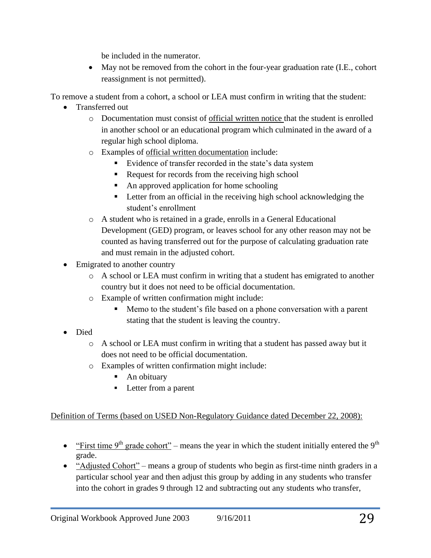be included in the numerator.

 May not be removed from the cohort in the four-year graduation rate (I.E., cohort reassignment is not permitted).

To remove a student from a cohort, a school or LEA must confirm in writing that the student:

- Transferred out
	- o Documentation must consist of official written notice that the student is enrolled in another school or an educational program which culminated in the award of a regular high school diploma.
	- o Examples of official written documentation include:
		- Evidence of transfer recorded in the state's data system
		- Request for records from the receiving high school
		- An approved application for home schooling
		- Letter from an official in the receiving high school acknowledging the student's enrollment
	- o A student who is retained in a grade, enrolls in a General Educational Development (GED) program, or leaves school for any other reason may not be counted as having transferred out for the purpose of calculating graduation rate and must remain in the adjusted cohort.
- Emigrated to another country
	- $\circ$  A school or LEA must confirm in writing that a student has emigrated to another country but it does not need to be official documentation.
	- o Example of written confirmation might include:
		- Memo to the student's file based on a phone conversation with a parent stating that the student is leaving the country.
- Died
	- $\circ$  A school or LEA must confirm in writing that a student has passed away but it does not need to be official documentation.
	- o Examples of written confirmation might include:
		- An obituary
		- **Letter from a parent**

# Definition of Terms (based on USED Non-Regulatory Guidance dated December 22, 2008):

- "First time  $9<sup>th</sup>$  grade cohort" means the year in which the student initially entered the  $9<sup>th</sup>$ grade.
- "Adjusted Cohort" means a group of students who begin as first-time ninth graders in a particular school year and then adjust this group by adding in any students who transfer into the cohort in grades 9 through 12 and subtracting out any students who transfer,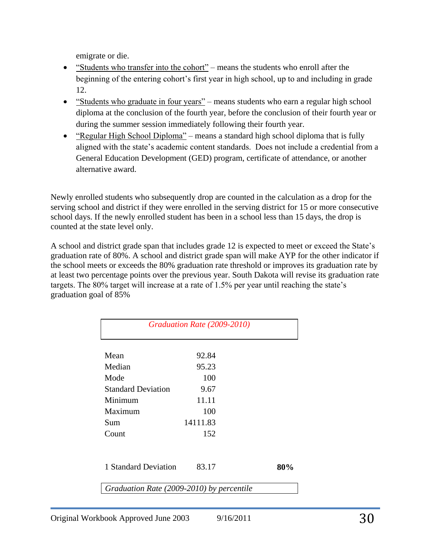emigrate or die.

- "Students who transfer into the cohort" means the students who enroll after the beginning of the entering cohort's first year in high school, up to and including in grade 12.
- "Students who graduate in four years" means students who earn a regular high school diploma at the conclusion of the fourth year, before the conclusion of their fourth year or during the summer session immediately following their fourth year.
- "Regular High School Diploma" means a standard high school diploma that is fully aligned with the state's academic content standards. Does not include a credential from a General Education Development (GED) program, certificate of attendance, or another alternative award.

Newly enrolled students who subsequently drop are counted in the calculation as a drop for the serving school and district if they were enrolled in the serving district for 15 or more consecutive school days. If the newly enrolled student has been in a school less than 15 days, the drop is counted at the state level only.

A school and district grade span that includes grade 12 is expected to meet or exceed the State's graduation rate of 80%. A school and district grade span will make AYP for the other indicator if the school meets or exceeds the 80% graduation rate threshold or improves its graduation rate by at least two percentage points over the previous year. South Dakota will revise its graduation rate targets. The 80% target will increase at a rate of 1.5% per year until reaching the state's graduation goal of 85%

| Mean                      | 92.84    |     |
|---------------------------|----------|-----|
| Median                    | 95.23    |     |
| Mode                      | 100      |     |
| <b>Standard Deviation</b> | 9.67     |     |
| Minimum                   | 11.11    |     |
| Maximum                   | 100      |     |
| Sum                       | 14111.83 |     |
| Count                     | 152      |     |
| 1 Standard Deviation      | 83.17    | 80% |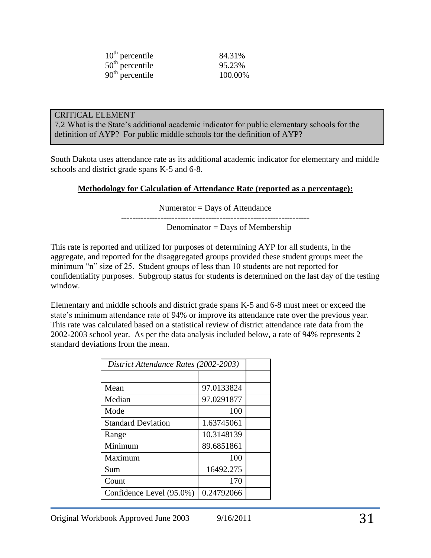| $10th$ percentile | 84.31%  |
|-------------------|---------|
| $50th$ percentile | 95.23%  |
| $90th$ percentile | 100.00% |

#### CRITICAL ELEMENT

7.2 What is the State's additional academic indicator for public elementary schools for the definition of AYP? For public middle schools for the definition of AYP?

South Dakota uses attendance rate as its additional academic indicator for elementary and middle schools and district grade spans K-5 and 6-8.

### **Methodology for Calculation of Attendance Rate (reported as a percentage):**

Numerator = Days of Attendance

------------------------------------------------------------------- Denominator = Days of Membership

This rate is reported and utilized for purposes of determining AYP for all students, in the aggregate, and reported for the disaggregated groups provided these student groups meet the minimum "n" size of 25. Student groups of less than 10 students are not reported for confidentiality purposes. Subgroup status for students is determined on the last day of the testing window.

Elementary and middle schools and district grade spans K-5 and 6-8 must meet or exceed the state's minimum attendance rate of 94% or improve its attendance rate over the previous year. This rate was calculated based on a statistical review of district attendance rate data from the 2002-2003 school year. As per the data analysis included below, a rate of 94% represents 2 standard deviations from the mean.

| District Attendance Rates (2002-2003) |            |  |
|---------------------------------------|------------|--|
|                                       |            |  |
| Mean                                  | 97.0133824 |  |
| Median                                | 97.0291877 |  |
| Mode                                  | 100        |  |
| <b>Standard Deviation</b>             | 1.63745061 |  |
| Range                                 | 10.3148139 |  |
| Minimum                               | 89.6851861 |  |
| Maximum                               | 100        |  |
| Sum                                   | 16492.275  |  |
| Count                                 | 170        |  |
| Confidence Level (95.0%)              | 0.24792066 |  |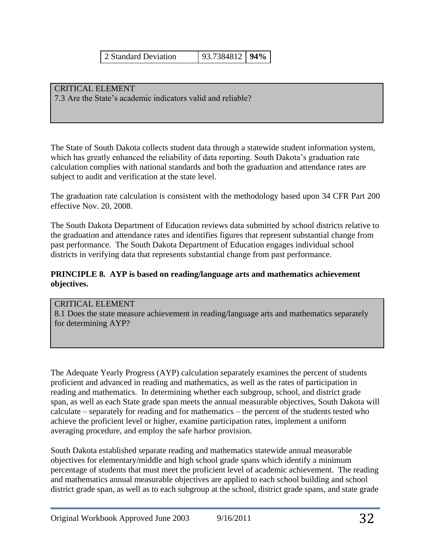2 Standard Deviation 93.7384812 **94%**

CRITICAL ELEMENT 7.3 Are the State's academic indicators valid and reliable?

The State of South Dakota collects student data through a statewide student information system, which has greatly enhanced the reliability of data reporting. South Dakota's graduation rate calculation complies with national standards and both the graduation and attendance rates are subject to audit and verification at the state level.

The graduation rate calculation is consistent with the methodology based upon 34 CFR Part 200 effective Nov. 20, 2008.

The South Dakota Department of Education reviews data submitted by school districts relative to the graduation and attendance rates and identifies figures that represent substantial change from past performance. The South Dakota Department of Education engages individual school districts in verifying data that represents substantial change from past performance.

### **PRINCIPLE 8. AYP is based on reading/language arts and mathematics achievement objectives.**

### CRITICAL ELEMENT

8.1 Does the state measure achievement in reading/language arts and mathematics separately for determining AYP?

The Adequate Yearly Progress (AYP) calculation separately examines the percent of students proficient and advanced in reading and mathematics, as well as the rates of participation in reading and mathematics. In determining whether each subgroup, school, and district grade span, as well as each State grade span meets the annual measurable objectives, South Dakota will calculate – separately for reading and for mathematics – the percent of the students tested who achieve the proficient level or higher, examine participation rates, implement a uniform averaging procedure, and employ the safe harbor provision.

South Dakota established separate reading and mathematics statewide annual measurable objectives for elementary/middle and high school grade spans which identify a minimum percentage of students that must meet the proficient level of academic achievement. The reading and mathematics annual measurable objectives are applied to each school building and school district grade span, as well as to each subgroup at the school, district grade spans, and state grade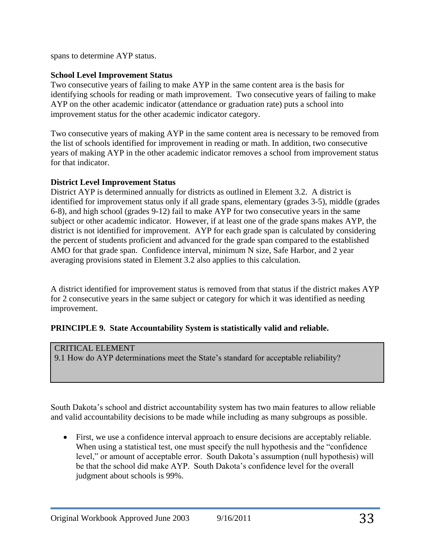spans to determine AYP status.

# **School Level Improvement Status**

Two consecutive years of failing to make AYP in the same content area is the basis for identifying schools for reading or math improvement. Two consecutive years of failing to make AYP on the other academic indicator (attendance or graduation rate) puts a school into improvement status for the other academic indicator category.

Two consecutive years of making AYP in the same content area is necessary to be removed from the list of schools identified for improvement in reading or math. In addition, two consecutive years of making AYP in the other academic indicator removes a school from improvement status for that indicator.

# **District Level Improvement Status**

District AYP is determined annually for districts as outlined in Element 3.2. A district is identified for improvement status only if all grade spans, elementary (grades 3-5), middle (grades 6-8), and high school (grades 9-12) fail to make AYP for two consecutive years in the same subject or other academic indicator. However, if at least one of the grade spans makes AYP, the district is not identified for improvement. AYP for each grade span is calculated by considering the percent of students proficient and advanced for the grade span compared to the established AMO for that grade span. Confidence interval, minimum N size, Safe Harbor, and 2 year averaging provisions stated in Element 3.2 also applies to this calculation.

A district identified for improvement status is removed from that status if the district makes AYP for 2 consecutive years in the same subject or category for which it was identified as needing improvement.

# **PRINCIPLE 9. State Accountability System is statistically valid and reliable.**

# CRITICAL ELEMENT

9.1 How do AYP determinations meet the State's standard for acceptable reliability?

South Dakota's school and district accountability system has two main features to allow reliable and valid accountability decisions to be made while including as many subgroups as possible.

 First, we use a confidence interval approach to ensure decisions are acceptably reliable. When using a statistical test, one must specify the null hypothesis and the "confidence" level," or amount of acceptable error. South Dakota's assumption (null hypothesis) will be that the school did make AYP. South Dakota's confidence level for the overall judgment about schools is 99%.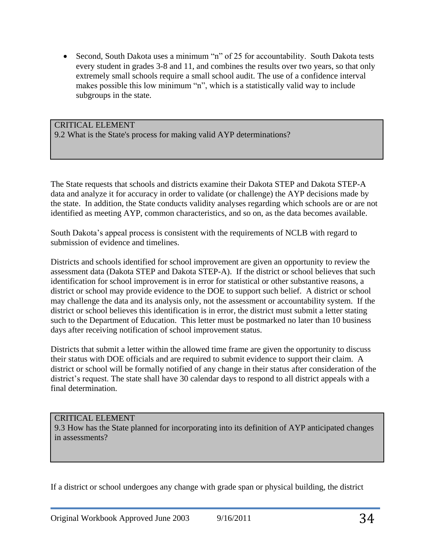• Second, South Dakota uses a minimum "n" of 25 for accountability. South Dakota tests every student in grades 3-8 and 11, and combines the results over two years, so that only extremely small schools require a small school audit. The use of a confidence interval makes possible this low minimum "n", which is a statistically valid way to include subgroups in the state.

CRITICAL ELEMENT 9.2 What is the State's process for making valid AYP determinations?

The State requests that schools and districts examine their Dakota STEP and Dakota STEP-A data and analyze it for accuracy in order to validate (or challenge) the AYP decisions made by the state. In addition, the State conducts validity analyses regarding which schools are or are not identified as meeting AYP, common characteristics, and so on, as the data becomes available.

South Dakota's appeal process is consistent with the requirements of NCLB with regard to submission of evidence and timelines.

Districts and schools identified for school improvement are given an opportunity to review the assessment data (Dakota STEP and Dakota STEP-A). If the district or school believes that such identification for school improvement is in error for statistical or other substantive reasons, a district or school may provide evidence to the DOE to support such belief. A district or school may challenge the data and its analysis only, not the assessment or accountability system. If the district or school believes this identification is in error, the district must submit a letter stating such to the Department of Education. This letter must be postmarked no later than 10 business days after receiving notification of school improvement status.

Districts that submit a letter within the allowed time frame are given the opportunity to discuss their status with DOE officials and are required to submit evidence to support their claim. A district or school will be formally notified of any change in their status after consideration of the district's request. The state shall have 30 calendar days to respond to all district appeals with a final determination.

### CRITICAL ELEMENT

9.3 How has the State planned for incorporating into its definition of AYP anticipated changes in assessments?

If a district or school undergoes any change with grade span or physical building, the district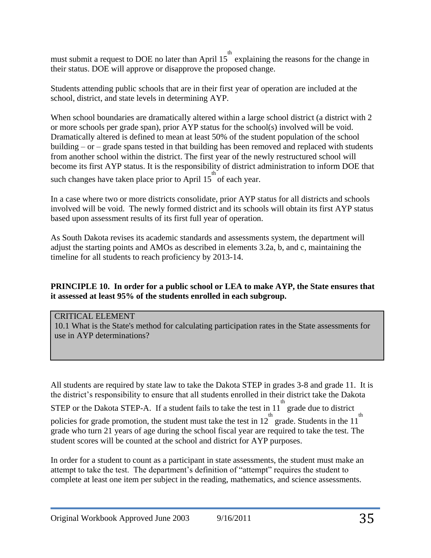must submit a request to DOE no later than April  $15^{th}$  explaining the reasons for the change in their status. DOE will approve or disapprove the proposed change.

Students attending public schools that are in their first year of operation are included at the school, district, and state levels in determining AYP.

When school boundaries are dramatically altered within a large school district (a district with 2 or more schools per grade span), prior AYP status for the school(s) involved will be void. Dramatically altered is defined to mean at least 50% of the student population of the school building – or – grade spans tested in that building has been removed and replaced with students from another school within the district. The first year of the newly restructured school will become its first AYP status. It is the responsibility of district administration to inform DOE that such changes have taken place prior to April  $15^{th}$  of each year.

In a case where two or more districts consolidate, prior AYP status for all districts and schools involved will be void. The newly formed district and its schools will obtain its first AYP status based upon assessment results of its first full year of operation.

As South Dakota revises its academic standards and assessments system, the department will adjust the starting points and AMOs as described in elements 3.2a, b, and c, maintaining the timeline for all students to reach proficiency by 2013-14.

### **PRINCIPLE 10. In order for a public school or LEA to make AYP, the State ensures that it assessed at least 95% of the students enrolled in each subgroup.**

### CRITICAL ELEMENT

10.1 What is the State's method for calculating participation rates in the State assessments for use in AYP determinations?

All students are required by state law to take the Dakota STEP in grades 3-8 and grade 11. It is the district's responsibility to ensure that all students enrolled in their district take the Dakota STEP or the Dakota STEP-A. If a student fails to take the test in  $11^{th}$  grade due to district policies for grade promotion, the student must take the test in  $12^{th}$  grade. Students in the  $11^{th}$ grade who turn 21 years of age during the school fiscal year are required to take the test. The student scores will be counted at the school and district for AYP purposes.

In order for a student to count as a participant in state assessments, the student must make an attempt to take the test. The department's definition of "attempt" requires the student to complete at least one item per subject in the reading, mathematics, and science assessments.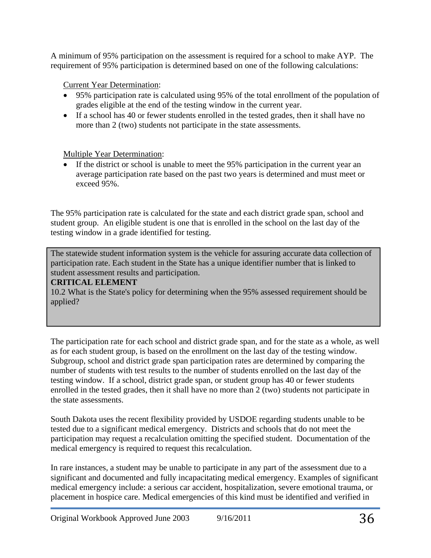A minimum of 95% participation on the assessment is required for a school to make AYP. The requirement of 95% participation is determined based on one of the following calculations:

# Current Year Determination:

- 95% participation rate is calculated using 95% of the total enrollment of the population of grades eligible at the end of the testing window in the current year.
- If a school has 40 or fewer students enrolled in the tested grades, then it shall have no more than 2 (two) students not participate in the state assessments.

# Multiple Year Determination:

 If the district or school is unable to meet the 95% participation in the current year an average participation rate based on the past two years is determined and must meet or exceed 95%.

The 95% participation rate is calculated for the state and each district grade span, school and student group. An eligible student is one that is enrolled in the school on the last day of the testing window in a grade identified for testing.

The statewide student information system is the vehicle for assuring accurate data collection of participation rate. Each student in the State has a unique identifier number that is linked to student assessment results and participation.

# **CRITICAL ELEMENT**

10.2 What is the State's policy for determining when the 95% assessed requirement should be applied?

The participation rate for each school and district grade span, and for the state as a whole, as well as for each student group, is based on the enrollment on the last day of the testing window. Subgroup, school and district grade span participation rates are determined by comparing the number of students with test results to the number of students enrolled on the last day of the testing window. If a school, district grade span, or student group has 40 or fewer students enrolled in the tested grades, then it shall have no more than 2 (two) students not participate in the state assessments.

South Dakota uses the recent flexibility provided by USDOE regarding students unable to be tested due to a significant medical emergency. Districts and schools that do not meet the participation may request a recalculation omitting the specified student. Documentation of the medical emergency is required to request this recalculation.

In rare instances, a student may be unable to participate in any part of the assessment due to a significant and documented and fully incapacitating medical emergency. Examples of significant medical emergency include: a serious car accident, hospitalization, severe emotional trauma, or placement in hospice care. Medical emergencies of this kind must be identified and verified in